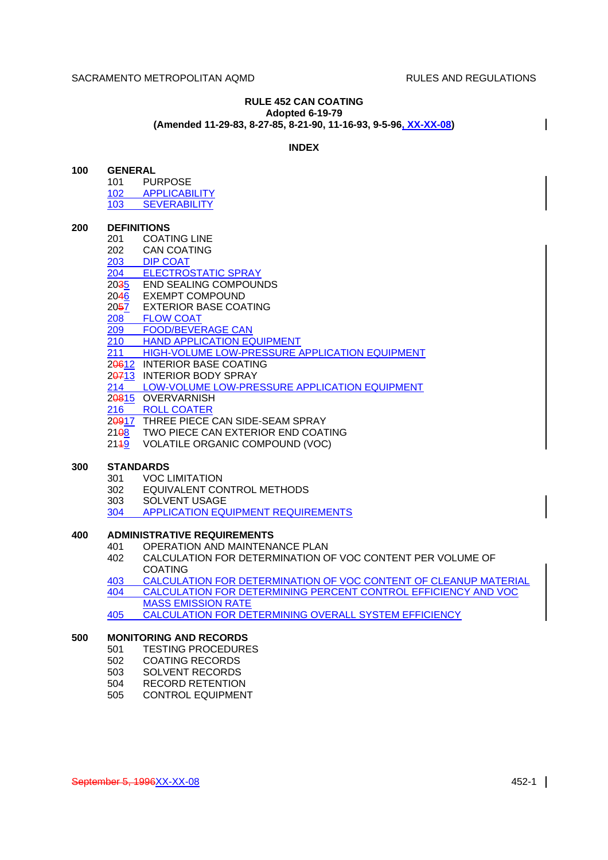#### **RULE 452 CAN COATING Adopted 6-19-79 (Amended 11-29-83, 8-27-85, 8-21-90, 11-16-93, 9-5-96, XX-XX-08)**

#### **INDEX**

| 100 | <b>GENERAL</b> |
|-----|----------------|
|     |                |

101 PURPOSE 102 APPLICABILITY 103 SEVERABILITY

#### **200 DEFINITIONS**

- 201 COATING LINE<br>202 CAN COATING **CAN COATING** 203 DIP COAT
- 204 ELECTROSTATIC SPRAY
- 2035 END SEALING COMPOUNDS<br>2046 EXEMPT COMPOUND **EXEMPT COMPOUND**
- 
- 2057 EXTERIOR BASE COATING
- 208 FLOW COAT 209 FOOD/BEVERAGE CAN
- 
- 210 HAND APPLICATION EQUIPMENT
- 211 HIGH-VOLUME LOW-PRESSURE APPLICATION EQUIPMENT
- 20612 INTERIOR BASE COATING
- 20713 INTERIOR BODY SPRAY
- 214 LOW-VOLUME LOW-PRESSURE APPLICATION EQUIPMENT
- 20815 OVERVARNISH
- 216 ROLL COATER
- 20917 THREE PIECE CAN SIDE-SEAM SPRAY
- 21<del>08</del> TWO PIECE CAN EXTERIOR END COATING
- 2149 VOLATILE ORGANIC COMPOUND (VOC)

## **300 STANDARDS**

- 301 VOC LIMITATION
- 302 EQUIVALENT CONTROL METHODS
- 303 SOLVENT USAGE
- 304 APPLICATION EQUIPMENT REQUIREMENTS

## **400 ADMINISTRATIVE REQUIREMENTS**

- 401 OPERATION AND MAINTENANCE PLAN
- 402 CALCULATION FOR DETERMINATION OF VOC CONTENT PER VOLUME OF COATING
- 403 CALCULATION FOR DETERMINATION OF VOC CONTENT OF CLEANUP MATERIAL 404 CALCULATION FOR DETERMINING PERCENT CONTROL EFFICIENCY AND VOC MASS EMISSION RATE
- 405 CALCULATION FOR DETERMINING OVERALL SYSTEM EFFICIENCY

# **500 MONITORING AND RECORDS**

- 501 TESTING PROCEDURES
- 502 COATING RECORDS
- 503 SOLVENT RECORDS
- 504 RECORD RETENTION
- 505 CONTROL EQUIPMENT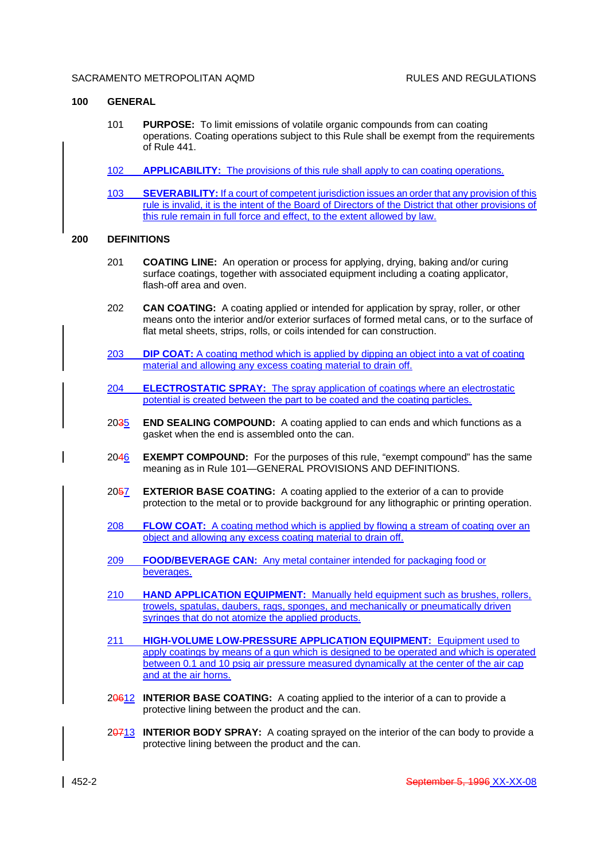#### **100 GENERAL**

- 101 **PURPOSE:** To limit emissions of volatile organic compounds from can coating operations. Coating operations subject to this Rule shall be exempt from the requirements of Rule 441.
- 102 **APPLICABILITY:** The provisions of this rule shall apply to can coating operations.
- 103 **SEVERABILITY:** If a court of competent jurisdiction issues an order that any provision of this rule is invalid, it is the intent of the Board of Directors of the District that other provisions of this rule remain in full force and effect, to the extent allowed by law.

#### **200 DEFINITIONS**

- 201 **COATING LINE:** An operation or process for applying, drying, baking and/or curing surface coatings, together with associated equipment including a coating applicator, flash-off area and oven.
- 202 **CAN COATING:** A coating applied or intended for application by spray, roller, or other means onto the interior and/or exterior surfaces of formed metal cans, or to the surface of flat metal sheets, strips, rolls, or coils intended for can construction.
- 203 **DIP COAT:** A coating method which is applied by dipping an object into a vat of coating material and allowing any excess coating material to drain off.
- 204 **ELECTROSTATIC SPRAY:** The spray application of coatings where an electrostatic potential is created between the part to be coated and the coating particles.
- 2035 **END SEALING COMPOUND:** A coating applied to can ends and which functions as a gasket when the end is assembled onto the can.
- 2046 **EXEMPT COMPOUND:** For the purposes of this rule, "exempt compound" has the same meaning as in Rule 101—GENERAL PROVISIONS AND DEFINITIONS.
- 2057 **EXTERIOR BASE COATING:** A coating applied to the exterior of a can to provide protection to the metal or to provide background for any lithographic or printing operation.
- 208 **FLOW COAT:** A coating method which is applied by flowing a stream of coating over an object and allowing any excess coating material to drain off.
- 209 **FOOD/BEVERAGE CAN:** Any metal container intended for packaging food or beverages.
- 210 **HAND APPLICATION EQUIPMENT:** Manually held equipment such as brushes, rollers, trowels, spatulas, daubers, rags, sponges, and mechanically or pneumatically driven syringes that do not atomize the applied products.
- 211 **HIGH-VOLUME LOW-PRESSURE APPLICATION EQUIPMENT:** Equipment used to apply coatings by means of a gun which is designed to be operated and which is operated between 0.1 and 10 psig air pressure measured dynamically at the center of the air cap and at the air horns.
- 20612 **INTERIOR BASE COATING:** A coating applied to the interior of a can to provide a protective lining between the product and the can.
- 20713 **INTERIOR BODY SPRAY:** A coating sprayed on the interior of the can body to provide a protective lining between the product and the can.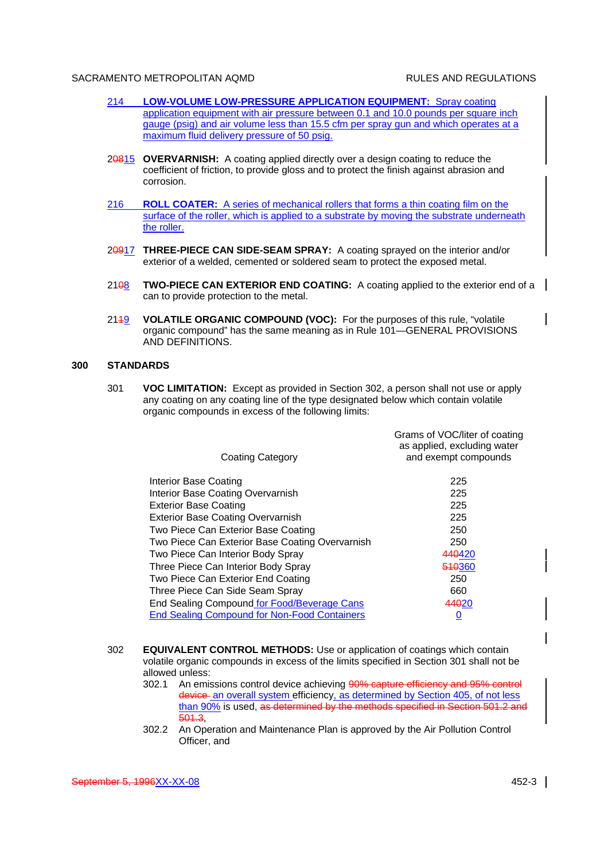- 214 **LOW-VOLUME LOW-PRESSURE APPLICATION EQUIPMENT:** Spray coating application equipment with air pressure between 0.1 and 10.0 pounds per square inch gauge (psig) and air volume less than 15.5 cfm per spray gun and which operates at a maximum fluid delivery pressure of 50 psig.
- 20815 **OVERVARNISH:** A coating applied directly over a design coating to reduce the coefficient of friction, to provide gloss and to protect the finish against abrasion and corrosion.
- 216 **ROLL COATER:** A series of mechanical rollers that forms a thin coating film on the surface of the roller, which is applied to a substrate by moving the substrate underneath the roller.
- 20917 **THREE-PIECE CAN SIDE-SEAM SPRAY:** A coating sprayed on the interior and/or exterior of a welded, cemented or soldered seam to protect the exposed metal.
- 21<del>0</del>8 **TWO-PIECE CAN EXTERIOR END COATING:** A coating applied to the exterior end of a | can to provide protection to the metal.
- 2149 **VOLATILE ORGANIC COMPOUND (VOC):** For the purposes of this rule, "volatile organic compound" has the same meaning as in Rule 101—GENERAL PROVISIONS AND DEFINITIONS.

### **300 STANDARDS**

301 **VOC LIMITATION:** Except as provided in Section 302, a person shall not use or apply any coating on any coating line of the type designated below which contain volatile organic compounds in excess of the following limits:

| <b>Coating Category</b>                             | Grams of VOC/liter of coating<br>as applied, excluding water<br>and exempt compounds |
|-----------------------------------------------------|--------------------------------------------------------------------------------------|
| Interior Base Coating                               | 225                                                                                  |
| Interior Base Coating Overvarnish                   | 225                                                                                  |
| <b>Exterior Base Coating</b>                        | 225                                                                                  |
| <b>Exterior Base Coating Overvarnish</b>            | 225                                                                                  |
| Two Piece Can Exterior Base Coating                 | 250                                                                                  |
| Two Piece Can Exterior Base Coating Overvarnish     | 250                                                                                  |
| Two Piece Can Interior Body Spray                   | 440420                                                                               |
| Three Piece Can Interior Body Spray                 | 510360                                                                               |
| Two Piece Can Exterior End Coating                  | 250                                                                                  |
| Three Piece Can Side Seam Spray                     | 660                                                                                  |
| End Sealing Compound for Food/Beverage Cans         | 44020                                                                                |
| <b>End Sealing Compound for Non-Food Containers</b> | U                                                                                    |

- 302 **EQUIVALENT CONTROL METHODS:** Use or application of coatings which contain volatile organic compounds in excess of the limits specified in Section 301 shall not be allowed unless:
	- 302.1 An emissions control device achieving 90% capture efficiency and 95% control device-an overall system efficiency, as determined by Section 405, of not less than 90% is used, as determined by the methods specified in Section 501.2 and 501.3,
	- 302.2 An Operation and Maintenance Plan is approved by the Air Pollution Control Officer, and

 $\mathsf{l}$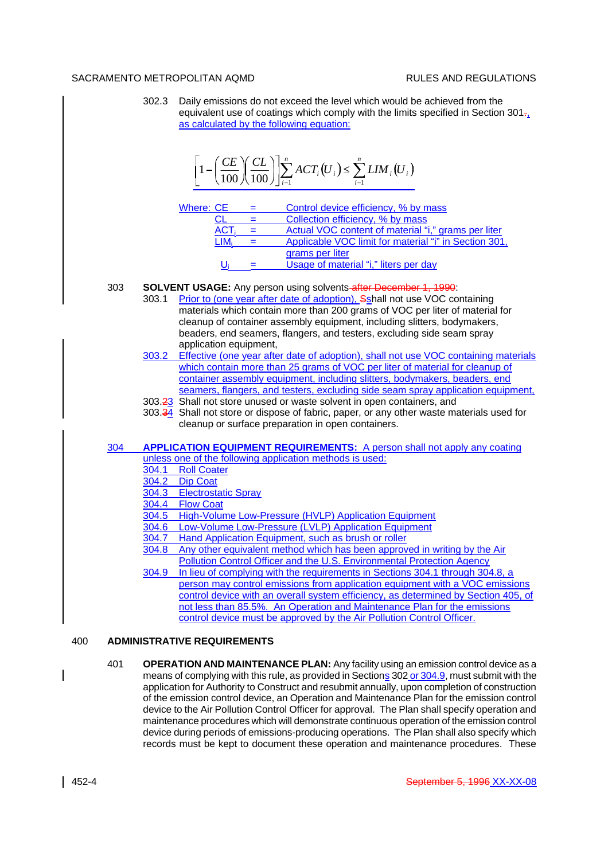302.3 Daily emissions do not exceed the level which would be achieved from the equivalent use of coatings which comply with the limits specified in Section 301 $\frac{1}{2}$ as calculated by the following equation:

$$
\left[1-\left(\frac{CE}{100}\right)\left(\frac{CL}{100}\right)\right]\sum_{i=1}^{n} ACT_i(U_i) \leq \sum_{i=1}^{n} LIM_i(U_i)
$$

| Where: CE  | Control device efficiency, % by mass                  |
|------------|-------------------------------------------------------|
|            | Collection efficiency, % by mass                      |
| <b>ACT</b> | Actual VOC content of material "i," grams per liter   |
|            | Applicable VOC limit for material "i" in Section 301, |
|            | grams per liter                                       |
|            | Usage of material "i," liters per day                 |

## 303 **SOLVENT USAGE:** Any person using solvents after December 1, 1990:

- 303.1 Prior to (one year after date of adoption), Sshall not use VOC containing materials which contain more than 200 grams of VOC per liter of material for cleanup of container assembly equipment, including slitters, bodymakers, beaders, end seamers, flangers, and testers, excluding side seam spray application equipment,
- 303.2 Effective (one year after date of adoption), shall not use VOC containing materials which contain more than 25 grams of VOC per liter of material for cleanup of container assembly equipment, including slitters, bodymakers, beaders, end seamers, flangers, and testers, excluding side seam spray application equipment,
- 303.23 Shall not store unused or waste solvent in open containers, and
- 303.34 Shall not store or dispose of fabric, paper, or any other waste materials used for cleanup or surface preparation in open containers.

304 **APPLICATION EQUIPMENT REQUIREMENTS:** A person shall not apply any coating unless one of the following application methods is used:

- 
- 304.1 Roll Coater<br>304.2 Dip Coat Dip Coat
- 304.3 Electrostatic Spray
- 304.4 Flow Coat
- 304.5 High-Volume Low-Pressure (HVLP) Application Equipment
- 304.6 Low-Volume Low-Pressure (LVLP) Application Equipment
- 304.7 Hand Application Equipment, such as brush or roller
- 304.8 Any other equivalent method which has been approved in writing by the Air Pollution Control Officer and the U.S. Environmental Protection Agency
- 304.9 In lieu of complying with the requirements in Sections 304.1 through 304.8, a person may control emissions from application equipment with a VOC emissions control device with an overall system efficiency, as determined by Section 405, of not less than 85.5%. An Operation and Maintenance Plan for the emissions control device must be approved by the Air Pollution Control Officer.

# 400 **ADMINISTRATIVE REQUIREMENTS**

401 **OPERATION AND MAINTENANCE PLAN:** Any facility using an emission control device as a means of complying with this rule, as provided in Sections 302 or 304.9, must submit with the application for Authority to Construct and resubmit annually, upon completion of construction of the emission control device, an Operation and Maintenance Plan for the emission control device to the Air Pollution Control Officer for approval. The Plan shall specify operation and maintenance procedures which will demonstrate continuous operation of the emission control device during periods of emissions-producing operations. The Plan shall also specify which records must be kept to document these operation and maintenance procedures. These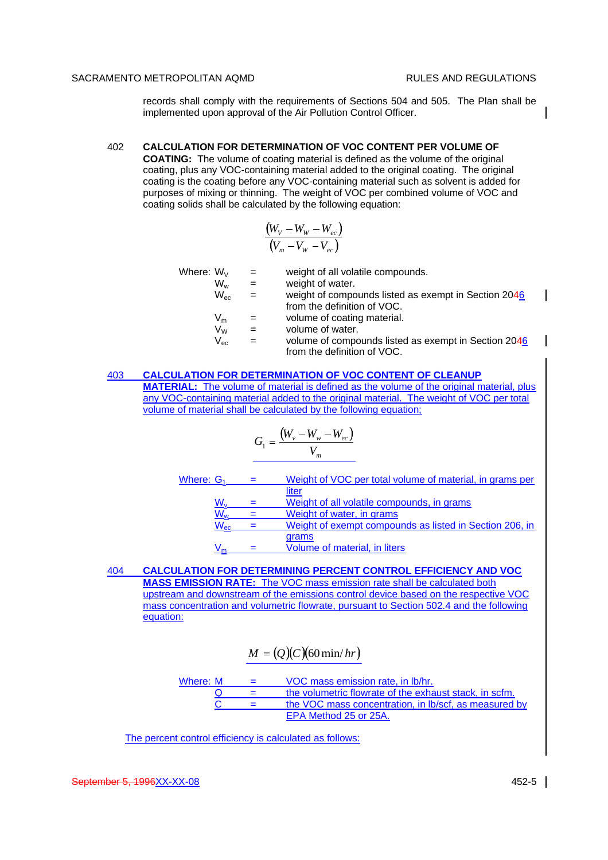$\mathsf{l}$ 

 $\mathbf{I}$ 

records shall comply with the requirements of Sections 504 and 505. The Plan shall be implemented upon approval of the Air Pollution Control Officer.

### 402 **CALCULATION FOR DETERMINATION OF VOC CONTENT PER VOLUME OF**

**COATING:** The volume of coating material is defined as the volume of the original coating, plus any VOC-containing material added to the original coating. The original coating is the coating before any VOC-containing material such as solvent is added for purposes of mixing or thinning. The weight of VOC per combined volume of VOC and coating solids shall be calculated by the following equation:

$$
\frac{\left(W_V - W_W - W_{ec}\right)}{\left(V_m - V_W - V_{ec}\right)}
$$

| Where: $W_V$ | weight of all volatile compounds. |  |
|--------------|-----------------------------------|--|
| 1 A J        | المستسرون فسالته والمراسون        |  |

- 
- $W_w$  = weight of water.<br>  $W_{\infty}$  = weight of compo  $=$  weight of compounds listed as exempt in Section 2046 from the definition of VOC.
- $V_m$  = volume of coating material.
- 
- $V_W$  = volume of water.<br>  $V_{\infty}$  = volume of compo  $=$  volume of compounds listed as exempt in Section 2046 from the definition of VOC.

## 403 **CALCULATION FOR DETERMINATION OF VOC CONTENT OF CLEANUP**

**MATERIAL:** The volume of material is defined as the volume of the original material, plus any VOC-containing material added to the original material. The weight of VOC per total volume of material shall be calculated by the following equation;

$$
G_1 = \frac{(W_v - W_w - W_{ec})}{V_m}
$$

| Where: G <sub>1</sub> | Weight of VOC per total volume of material, in grams per |
|-----------------------|----------------------------------------------------------|
|                       | liter                                                    |
|                       | Weight of all volatile compounds, in grams               |
| $\sqrt{V_W}$          | Weight of water, in grams                                |
| $N_{\rm ec}$          | Weight of exempt compounds as listed in Section 206, in  |
|                       | grams                                                    |
|                       | Volume of material, in liters                            |

404 **CALCULATION FOR DETERMINING PERCENT CONTROL EFFICIENCY AND VOC MASS EMISSION RATE:** The VOC mass emission rate shall be calculated both upstream and downstream of the emissions control device based on the respective VOC mass concentration and volumetric flowrate, pursuant to Section 502.4 and the following equation:

$$
M = (Q)(C)(60 \min/hr)
$$

Where:  $M = VOC$  mass emission rate, in Ib/hr.  $Q =$  the volumetric flowrate of the exhaust stack, in scfm.  $\overline{C}$  = the VOC mass concentration, in lb/scf, as measured by EPA Method 25 or 25A.

The percent control efficiency is calculated as follows: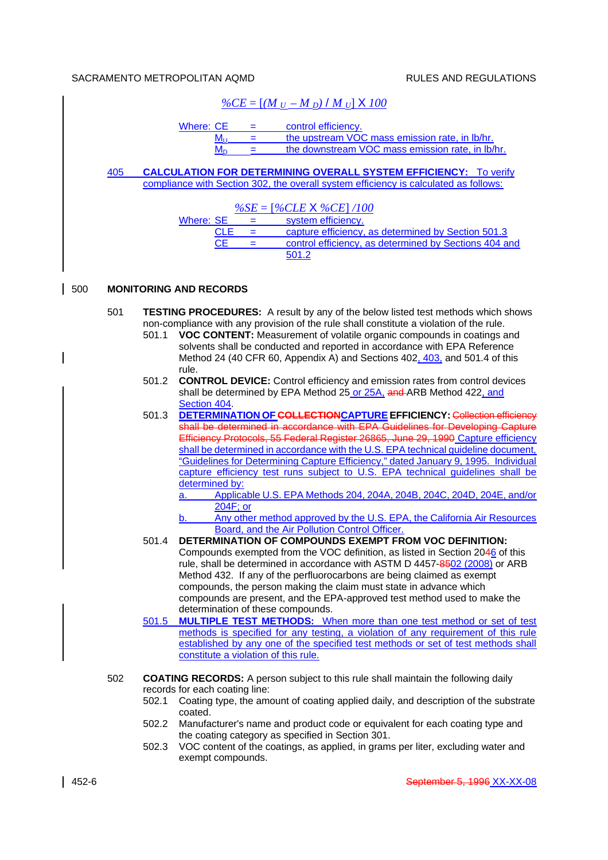|     |     | $\frac{9}{6CE} = [(M_U - M_D)/M_U] \times 100$                                                                                                                                                                                                                                                                                                                                                                                                                                                                                                                                                                                                                                                                                                                                |
|-----|-----|-------------------------------------------------------------------------------------------------------------------------------------------------------------------------------------------------------------------------------------------------------------------------------------------------------------------------------------------------------------------------------------------------------------------------------------------------------------------------------------------------------------------------------------------------------------------------------------------------------------------------------------------------------------------------------------------------------------------------------------------------------------------------------|
|     |     | <b>Where: CE</b><br>control efficiency.<br>Ξ.<br>the upstream VOC mass emission rate, in lb/hr.<br>$M_{\rm U}$<br>$=$<br>the downstream VOC mass emission rate, in lb/hr.<br>$M_{D}$<br>$=$                                                                                                                                                                                                                                                                                                                                                                                                                                                                                                                                                                                   |
|     | 405 | <b>CALCULATION FOR DETERMINING OVERALL SYSTEM EFFICIENCY: To verify</b><br>compliance with Section 302, the overall system efficiency is calculated as follows:                                                                                                                                                                                                                                                                                                                                                                                                                                                                                                                                                                                                               |
|     |     | $\%SE = [\%CLE \times \%CE] / 100$<br>system efficiency.<br><b>Where: SE</b><br>$\equiv 1.000$<br>capture efficiency, as determined by Section 501.3<br><b>CLE</b><br>$=$<br>control efficiency, as determined by Sections 404 and<br><b>CE</b><br>$=$<br>501.2                                                                                                                                                                                                                                                                                                                                                                                                                                                                                                               |
| 500 |     | <b>MONITORING AND RECORDS</b>                                                                                                                                                                                                                                                                                                                                                                                                                                                                                                                                                                                                                                                                                                                                                 |
|     | 501 | <b>TESTING PROCEDURES:</b> A result by any of the below listed test methods which shows<br>non-compliance with any provision of the rule shall constitute a violation of the rule.<br>VOC CONTENT: Measurement of volatile organic compounds in coatings and<br>501.1<br>solvents shall be conducted and reported in accordance with EPA Reference<br>Method 24 (40 CFR 60, Appendix A) and Sections 402, 403, and 501.4 of this                                                                                                                                                                                                                                                                                                                                              |
|     |     | rule.<br>501.2<br><b>CONTROL DEVICE:</b> Control efficiency and emission rates from control devices<br>shall be determined by EPA Method 25 or 25A, and ARB Method 422, and<br>Section 404                                                                                                                                                                                                                                                                                                                                                                                                                                                                                                                                                                                    |
|     |     | <b>DETERMINATION OF COLLECTION CAPTURE EFFICIENCY: Collection efficiency</b><br>501.3<br>shall be determined in accordance with EPA Guidelines for Developing Capture<br>Efficiency Protocols, 55 Federal Register 26865, June 29, 1990 Capture efficiency<br>shall be determined in accordance with the U.S. EPA technical guideline document,<br>"Guidelines for Determining Capture Efficiency," dated January 9, 1995. Individual<br>capture efficiency test runs subject to U.S. EPA technical quidelines shall be<br>determined by:<br>Applicable U.S. EPA Methods 204, 204A, 204B, 204C, 204D, 204E, and/or<br>a.<br>204F; or<br>Any other method approved by the U.S. EPA, the California Air Resources<br><u>b.</u><br>Board, and the Air Pollution Control Officer. |
|     |     | 501.4<br>DETERMINATION OF COMPOUNDS EXEMPT FROM VOC DEFINITION:<br>Compounds exempted from the VOC definition, as listed in Section 2046 of this<br>rule, shall be determined in accordance with ASTM D 4457-8502 (2008) or ARB<br>Method 432. If any of the perfluorocarbons are being claimed as exempt<br>compounds, the person making the claim must state in advance which<br>compounds are present, and the EPA-approved test method used to make the<br>determination of these compounds.                                                                                                                                                                                                                                                                              |
|     |     | <b>MULTIPLE TEST METHODS:</b> When more than one test method or set of test<br>501.5<br>methods is specified for any testing, a violation of any requirement of this rule<br>established by any one of the specified test methods or set of test methods shall<br>constitute a violation of this rule.                                                                                                                                                                                                                                                                                                                                                                                                                                                                        |
|     | 502 | <b>COATING RECORDS:</b> A person subject to this rule shall maintain the following daily<br>records for each coating line:<br>Coating type, the amount of coating applied daily, and description of the substrate<br>502.1<br>coated.<br>502.2<br>Manufacturer's name and product code or equivalent for each coating type and<br>the coating category as specified in Section 301.<br>VOC content of the coatings, as applied, in grams per liter, excluding water and<br>502.3<br>exempt compounds.                                                                                                                                                                                                                                                                         |